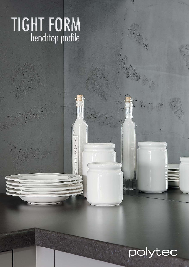# TIGHT FORM

## polytec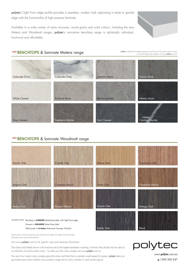polytec's Tight Form edge profile provides a seamless, modern look replicating a stone or granite edge with the functionality of high pressure laminate.

Available in a wide variety of stone structures, wood grains and solid colours, including the new Matera and Woodmatt ranges, polytec's innovative benchtop range is stylistically individual, functional and affordable.



#### *NEW* **BENCHTOPS** & laminate Matera range

polytec swatches and samples represent a small area of the overall colour structure To view the large colour sample, visit www.polytec.com.au.



#### *NEW* **BENCHTOPS** & laminate Woodmatt range

| Nordic Oak                                                                                                                                                                        | <b>Coastal Oak</b> | <b>Palace Teak</b> | <b>Tasmanian Oak</b> |
|-----------------------------------------------------------------------------------------------------------------------------------------------------------------------------------|--------------------|--------------------|----------------------|
| Angora Oak                                                                                                                                                                        | Casentino Beech    | Prime Oak          | Florentine Walnut    |
| Antico Oak                                                                                                                                                                        | Notaio Walnut      | Empire Oak         | Bottega Oak          |
| Benchtop in LAMINATE Stonehaven Matt, with Tight Form edge.<br>OUTSIDE COVER:<br>Drawers in MELAMINE Strata Grey Matt.<br>Wall panels in imi-beton Anthracite Concrete, Polished. |                    | Estella Oak        | <b>Black</b>         |

arker colours will show superficial wear and tear more readily than lighter coloured surfaces. and require more care and maintenance.

Visit www.polytec.com.au for specific care and cleaning information.

The colours and details shown in this brochure are to the highest standards in printing. However, they should only be used as an indication of actual product colour. To order your free colour sample visit www.polytec.com.au.

The use of our current colour samples gives the colour and finish that a customer would expect to receive. polytec does not guarantee exact colour matches across product ranges due to colour variation in each product group.



www.**polytec**.com.au

**p** 1300 300 547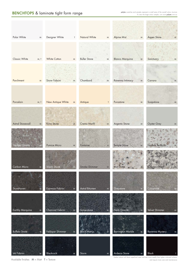| Polar White             | M         | Designer White<br>$\mathsf{T}$   | Natural White         | $M_{\odot}$  | Alpine Mist<br>M                        | Aspen Stone            | $M_{\odot}$  |
|-------------------------|-----------|----------------------------------|-----------------------|--------------|-----------------------------------------|------------------------|--------------|
|                         |           |                                  |                       |              |                                         |                        |              |
| Classic White           | M, T      | <b>White Cotton</b><br>${\sf M}$ | <b>Buller Stone</b>   | ${\sf M}$    | <b>Blanco Marquina</b><br>M             | Sanctuary              | ${\sf M}$    |
| Parchment               | M         | Snow Fabrini<br>M                | Chambord              | M            | Ravenna Intimacy<br>${\sf M}$           | Carrara                | ${\sf M}$    |
|                         |           |                                  |                       |              |                                         |                        |              |
| Porcelain               | M, T      | New Antique White<br>$M_{\odot}$ | Antique               | $\mathsf{T}$ | Purastone                               | Soapstone<br>${\sf M}$ | M            |
|                         |           |                                  |                       |              |                                         |                        |              |
| <b>Astral Stonewall</b> | ${\sf M}$ | Kirra Stone<br>M                 | <b>Crema Marfil</b>   | M            | Argento Stone<br>${\sf M}$              | <b>Oyster Grey</b>     | ${\sf M}$    |
| <b>Smokey Quartz</b>    |           | Pumice Micro<br>M                | Fontaine              | M            | Temple Stone<br>M                       | Norfolk Terrazzo       | M            |
| Carbon Micro            | ${\sf M}$ | Visoni Stone<br>$\mathsf{M}$     | Smoke Shimmer         | M            | fron Stohe<br>$\mathcal{M}$             | Kuringai Stone         | AM           |
| Stonehaven              | ${\sf M}$ | Espresso Fabrini<br>${\sf M}$    | <b>Astral Bitumen</b> | ${\sf M}$    | Greystone<br>M                          | Casastone              | ${\sf M}$    |
| Earthly Marquina        | ${\sf M}$ | Charcoal Fabrini<br>M            | Somerstone            |              | Nero Granite                            | Velvet Shimmer         |              |
|                         |           |                                  |                       | ${\sf M}$    | ${\sf M}$                               |                        | ${\sf M}$    |
| <b>Buffalo Stone</b>    | M         | Feldspar Shimmer<br>M            | <b>Black Matrix</b>   |              | <b>Barrington Marble</b><br>$M_{\odot}$ | Ravenna Mystery        | ${\sf M}$    |
| Ink Fabrini             | M         | Blackrock                        | Storm                 | ${\sf M}$    | Ardesia Stone<br>M                      | Black                  | $\mathsf{T}$ |
|                         |           | M                                |                       |              |                                         |                        |              |

Darker colours will show superficial wear and tear more readily than lighter coloured surfaces.